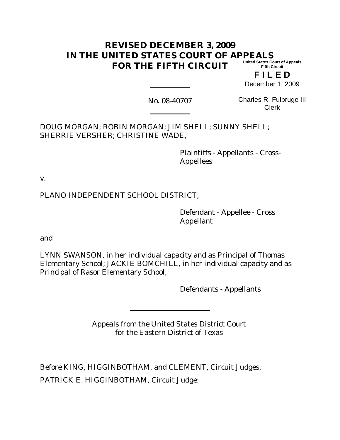#### **REVISED DECEMBER 3, 2009 IN THE UNITED STATES COURT OF APPEALS FOR THE FIFTH CIRCUIT United States Court of Appeals Fifth Circuit**

**F I L E D** December 1, 2009

No. 08-40707

Charles R. Fulbruge III Clerk

DOUG MORGAN; ROBIN MORGAN; JIM SHELL; SUNNY SHELL; SHERRIE VERSHER; CHRISTINE WADE,

> Plaintiffs - Appellants - Cross-Appellees

v.

PLANO INDEPENDENT SCHOOL DISTRICT,

Defendant - Appellee - Cross Appellant

and

LYNN SWANSON, in her individual capacity and as Principal of Thomas Elementary School; JACKIE BOMCHILL, in her individual capacity and as Principal of Rasor Elementary School,

Defendants - Appellants

Appeals from the United States District Court for the Eastern District of Texas

Before KING, HIGGINBOTHAM, and CLEMENT, Circuit Judges.

PATRICK E. HIGGINBOTHAM, Circuit Judge: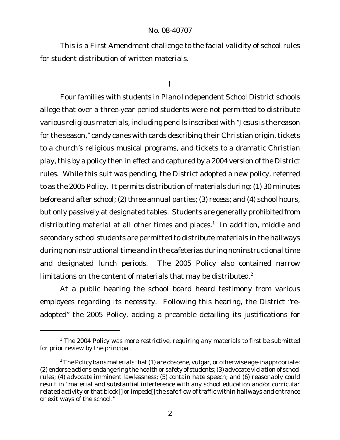This is a First Amendment challenge to the facial validity of school rules for student distribution of written materials.

#### I

Four families with students in Plano Independent School District schools allege that over a three-year period students were not permitted to distribute various religious materials, including pencils inscribed with "Jesus is the reason for the season," candy canes with cards describing their Christian origin, tickets to a church's religious musical programs, and tickets to a dramatic Christian play, this by a policy then in effect and captured by a 2004 version of the District rules. While this suit was pending, the District adopted a new policy, referred to as the 2005 Policy. It permits distribution of materials during: (1) 30 minutes before and after school; (2) three annual parties; (3) recess; and (4) school hours, but only passively at designated tables. Students are generally prohibited from distributing material at all other times and places. $^\text{1}$  In addition, middle and secondary school students are permitted to distribute materials in the hallways during noninstructional time and in the cafeterias during noninstructional time and designated lunch periods. The 2005 Policy also contained narrow limitations on the content of materials that may be distributed.<sup>2</sup>

At a public hearing the school board heard testimony from various employees regarding its necessity. Following this hearing, the District "readopted" the 2005 Policy, adding a preamble detailing its justifications for

<sup>&</sup>lt;sup>1</sup> The 2004 Policy was more restrictive, requiring any materials to first be submitted for prior review by the principal.

 $2^2$ The Policy bans materials that (1) are obscene, vulgar, or otherwise age-inappropriate; (2) endorse actions endangering the health or safety of students;(3) advocate violation of school rules; (4) advocate imminent lawlessness; (5) contain hate speech; and (6) reasonably could result in "material and substantial interference with any school education and/or curricular related activity or that block<sup>[]</sup> or impede<sup>[]</sup> the safe flow of traffic within hallways and entrance or exit ways of the school."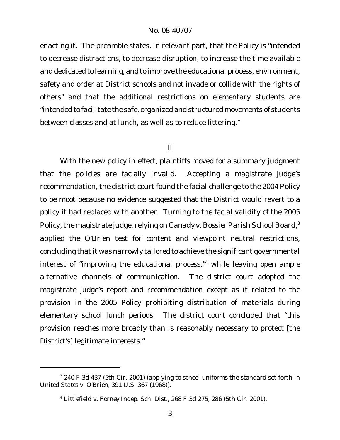enacting it. The preamble states, in relevant part, that the Policy is "intended to decrease distractions, to decrease disruption, to increase the time available and dedicated to learning, and to improve the educational process, environment, safety and order at District schools and not invade or collide with the rights of others" and that the additional restrictions on elementary students are "intended to facilitate the safe, organized and structured movements of students between classes and at lunch, as well as to reduce littering."

## II

With the new policy in effect, plaintiffs moved for a summary judgment that the policies are facially invalid. Accepting a magistrate judge's recommendation, the district court found the facial challenge to the 2004 Policy to be moot because no evidence suggested that the District would revert to a policy it had replaced with another. Turning to the facial validity of the 2005 Policy, the magistrate judge, relying on Canady v. Bossier Parish School Board,<sup>3</sup> applied the *O'Brien* test for content and viewpoint neutral restrictions, concluding that it was narrowly tailored to achieve the significant governmental interest of "improving the educational process,"<sup>4</sup> while leaving open ample alternative channels of communication. The district court adopted the magistrate judge's report and recommendation except as it related to the provision in the 2005 Policy prohibiting distribution of materials during elementary school lunch periods. The district court concluded that "this provision reaches more broadly than is reasonably necessary to protect [the District's] legitimate interests."

<sup>&</sup>lt;sup>3</sup> 240 F.3d 437 (5th Cir. 2001) (applying to school uniforms the standard set forth in *United States v. O'Brien*, 391 U.S. 367 (1968)).

<sup>4</sup> *Littlefield v. Forney Indep. Sch. Dist.*, 268 F.3d 275, 286 (5th Cir. 2001).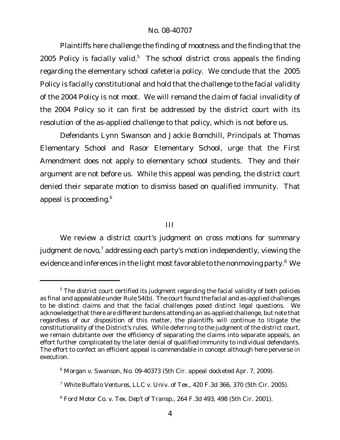Plaintiffs here challenge the finding of mootness and the finding that the 2005 Policy is facially valid.<sup>5</sup> The school district cross appeals the finding regarding the elementary school cafeteria policy. We conclude that the 2005 Policy is facially constitutional and hold that the challenge to the facial validity of the 2004 Policy is not moot. We will remand the claim of facial invalidity of the 2004 Policy so it can first be addressed by the district court with its resolution of the as-applied challenge to that policy, which is not before us.

Defendants Lynn Swanson and Jackie Bomchill, Principals at Thomas Elementary School and Rasor Elementary School, urge that the First Amendment does not apply to elementary school students. They and their argument are not before us. While this appeal was pending, the district court denied their separate motion to dismiss based on qualified immunity. That appeal is proceeding.<sup>6</sup>

### III

We review a district court's judgment on cross motions for summary judgment de novo,<sup>7</sup> addressing each party's motion independently, viewing the evidence and inferences in the light most favorable to the nonmoving party.<sup>8</sup> We

 $5$  The district court certified its judgment regarding the facial validity of both policies as final and appealable under Rule 54(b). The court found the facial and as-applied challenges to be distinct claims and that the facial challenges posed distinct legal questions. We acknowledge that there are different burdens attending an as-applied challenge, but note that regardless of our disposition of this matter, the plaintiffs will continue to litigate the constitutionality of the District's rules. While deferring to the judgment of the district court, we remain dubitante over the efficiency of separating the claims into separate appeals, an effort further complicated by the later denial of qualified immunity to individual defendants. The effort to confect an efficient appeal is commendable in concept although here perverse in execution.

<sup>6</sup> *Morgan v. Swanson*, No. 09-40373 (5th Cir. appeal docketed Apr. 7, 2009).

<sup>7</sup> *White Buffalo Ventures, LLC v. Univ. of Tex.*, 420 F.3d 366, 370 (5th Cir. 2005).

<sup>8</sup> *Ford Motor Co. v. Tex. Dep't of Transp.*, 264 F.3d 493, 498 (5th Cir. 2001).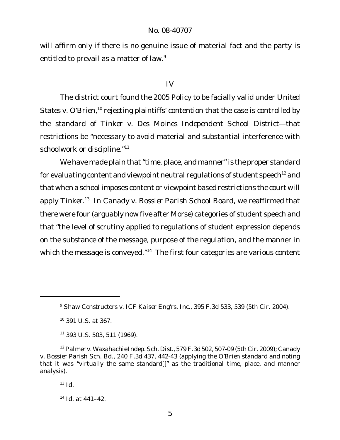will affirm only if there is no genuine issue of material fact and the party is entitled to prevail as a matter of law.<sup>9</sup>

#### IV

The district court found the 2005 Policy to be facially valid under *United* States v. O'Brien,<sup>10</sup> rejecting plaintiffs' contention that the case is controlled by the standard of *Tinker v. Des Moines Independent School District*—that restrictions be "necessary to avoid material and substantial interference with schoolwork or discipline."<sup>11</sup>

We have made plain that "time, place, and manner" is the proper standard for evaluating content and viewpoint neutral regulations of student speech<sup>12</sup> and that when a school imposes content or viewpoint based restrictions the court will apply *Tinker*. <sup>13</sup> In *Canady v. Bossier Parish School Board*, we reaffirmed that there were four (arguably now five after *Morse*) categories of student speech and that "the level of scrutiny applied to regulations of student expression depends on the substance of the message, purpose of the regulation, and the manner in which the message is conveyed."<sup>14</sup> The first four categories are various content

<sup>9</sup> *Shaw Constructors v. ICF Kaiser Eng'rs, Inc.*, 395 F.3d 533, 539 (5th Cir. 2004).

<sup>10</sup> 391 U.S. at 367.

 $11$  393 U.S. 503, 511 (1969).

<sup>12</sup> *Palmer v. Waxahachie Indep. Sch. Dist.*, 579 F.3d 502, 507-09 (5th Cir. 2009); *Canady v. Bossier Parish Sch. Bd.*, 240 F.3d 437, 442-43 (applying the *O'Brien* standard and noting that it was "virtually the same standard[]" as the traditional time, place, and manner analysis).

 $13$  *Id.* 

<sup>14</sup> *Id.* at 441–42.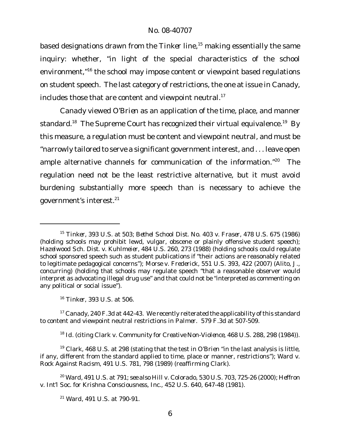based designations drawn from the *Tinker* line,<sup>15</sup> making essentially the same inquiry: whether, "in light of the special characteristics of the school environment,<sup>"16</sup> the school may impose content or viewpoint based regulations on student speech. The last category of restrictions, the one at issue in *Canady*, includes those that are content and viewpoint neutral.<sup>17</sup>

*Canady* viewed *O'Brien* as an application of the time, place, and manner standard.<sup>18</sup> The Supreme Court has recognized their virtual equivalence.<sup>19</sup> By this measure, a regulation must be content and viewpoint neutral, and must be "narrowly tailored to serve a significant government interest, and . . . leave open ample alternative channels for communication of the information."<sup>20</sup> The regulation need not be the least restrictive alternative, but it must avoid burdening substantially more speech than is necessary to achieve the government's interest.21

<sup>17</sup> *Canady*, 240 F.3d at 442-43. We recently reiterated the applicability of this standard to content and viewpoint neutral restrictions in *Palmer*. 579 F.3d at 507-509.

<sup>18</sup> *Id.* (citing *Clark v. Community for Creative Non-Violence*, 468 U.S. 288, 298 (1984)).

<sup>19</sup> *Clark*, 468 U.S. at 298 (stating that the test in *O'Brien* "in the last analysis is little, if any, different from the standard applied to time, place or manner, restrictions"); *Ward v. Rock Against Racism*, 491 U.S. 781, 798 (1989) (reaffirming *Clark*).

<sup>20</sup> *Ward*, 491 U.S. at 791; *see also Hill v. Colorado*, 530 U.S. 703, 725-26 (2000); *Heffron v. Int'l Soc. for Krishna Consciousness, Inc.*, 452 U.S. 640, 647-48 (1981).

<sup>15</sup> *Tinker*, 393 U.S. at 503; *Bethel School Dist. No. 403 v. Fraser*, 478 U.S. 675 (1986) (holding schools may prohibit lewd, vulgar, obscene or plainly offensive student speech); *Hazelwood Sch. Dist. v. Kuhlmeier*, 484 U.S. 260, 273 (1988) (holding schools could regulate school sponsored speech such as student publications if "their actions are reasonably related to legitimate pedagogical concerns"); *Morse v. Frederick*, 551 U.S. 393, 422 (2007) (Alito, J., concurring) (holding that schools may regulate speech "that a reasonable observer would interpret as advocating illegal drug use" and that could not be "interpreted as commenting on any political or social issue").

<sup>16</sup> *Tinker*, 393 U.S. at 506.

<sup>21</sup> *Ward*, 491 U.S. at 790-91.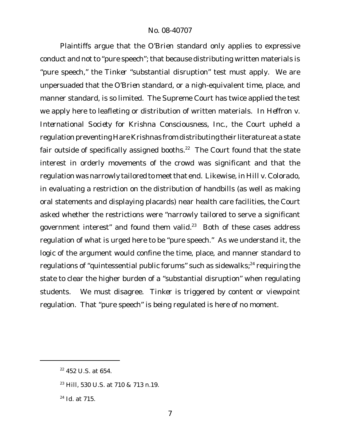Plaintiffs argue that the *O'Brien* standard only applies to expressive conduct and not to "pure speech"; that because distributing written materials is "pure speech," the *Tinker* "substantial disruption" test must apply. We are unpersuaded that the *O'Brien* standard, or a nigh-equivalent time, place, and manner standard, is so limited. The Supreme Court has twice applied the test we apply here to leafleting or distribution of written materials. In *Heffron v. International Society for Krishna Consciousness, Inc.*, the Court upheld a regulation preventing Hare Krishnas from distributing their literature at a state fair outside of specifically assigned booths. $22$  The Court found that the state interest in orderly movements of the crowd was significant and that the regulation was narrowly tailored to meetthat end. Likewise, in *Hill v. Colorado*, in evaluating a restriction on the distribution of handbills (as well as making oral statements and displaying placards) near health care facilities, the Court asked whether the restrictions were "narrowly tailored to serve a significant government interest" and found them valid.<sup>23</sup> Both of these cases address regulation of what is urged here to be "pure speech." As we understand it, the logic of the argument would confine the time, place, and manner standard to regulations of "quintessential public forums" such as sidewalks;<sup>24</sup> requiring the state to clear the higher burden of a "substantial disruption" when regulating students. We must disagree. *Tinker* is triggered by content or viewpoint regulation. That "pure speech" is being regulated is here of no moment.

 $22$  452 U.S. at 654.

<sup>23</sup> *Hill*, 530 U.S. at 710 & 713 n.19.

<sup>24</sup> *Id.* at 715.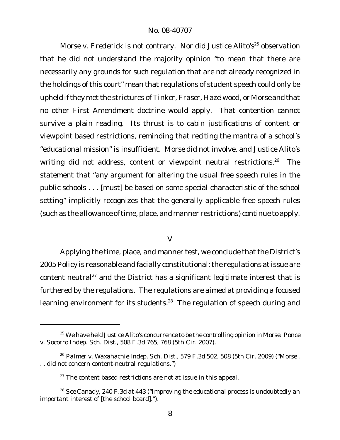Morse v. Frederick is not contrary. Nor did Justice Alito's<sup>25</sup> observation that he did not understand the majority opinion "to mean that there are necessarily any grounds for such regulation that are not already recognized in the holdings of this court" mean that regulations of student speech could only be upheld ifthey metthe strictures of *Tinker, Fraser*, *Hazelwood*, or *Morse* and that no other First Amendment doctrine would apply. That contention cannot survive a plain reading. Its thrust is to cabin justifications of content or viewpoint based restrictions, reminding that reciting the mantra of a school's "educational mission" is insufficient. *Morse* did not involve, and Justice Alito's writing did not address, content or viewpoint neutral restrictions.<sup>26</sup> The statement that "any argument for altering the usual free speech rules in the public schools . . . [must] be based on some special characteristic of the school setting" implicitly recognizes that the generally applicable free speech rules (such as the allowance of time, place, and manner restrictions) continue to apply.

# V

Applying the time, place, and manner test, we conclude that the District's 2005 Policy is reasonable and facially constitutional: the regulations at issue are content neutral<sup>27</sup> and the District has a significant legitimate interest that is furthered by the regulations. The regulations are aimed at providing a focused learning environment for its students.<sup>28</sup> The regulation of speech during and

<sup>25</sup> We have held Justice Alito's concurrence to be the controlling opinion in *Morse*. *Ponce v. Socorro Indep. Sch. Dist.*, 508 F.3d 765, 768 (5th Cir. 2007).

<sup>26</sup> *Palmer v. Waxahachie Indep. Sch. Dist.*, 579 F.3d 502, 508 (5th Cir. 2009) ("*Morse* . . . did not concern content-neutral regulations.")

 $27$  The content based restrictions are not at issue in this appeal.

<sup>28</sup> *See Canady*, 240 F.3d at 443 ("Improving the educational process is undoubtedly an important interest of [the school board].").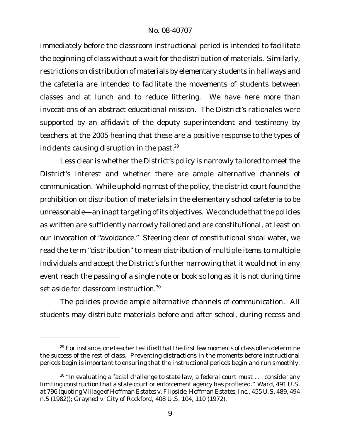immediately before the classroom instructional period is intended to facilitate the beginning of class without a wait for the distribution of materials. Similarly, restrictions on distribution of materials by elementary students in hallways and the cafeteria are intended to facilitate the movements of students between classes and at lunch and to reduce littering. We have here more than invocations of an abstract educational mission. The District's rationales were supported by an affidavit of the deputy superintendent and testimony by teachers at the 2005 hearing that these are a positive response to the types of incidents causing disruption in the past.<sup>29</sup>

Less clear is whether the District's policy is narrowly tailored to meet the District's interest and whether there are ample alternative channels of communication. While upholding most of the policy, the district court found the prohibition on distribution of materials in the elementary school cafeteria to be unreasonable—an inapt targeting of its objectives. We conclude that the policies as written are sufficiently narrowly tailored and are constitutional, at least on our invocation of "avoidance." Steering clear of constitutional shoal water, we read the term "distribution" to mean distribution of multiple items to multiple individuals and accept the District's further narrowing that it would not in any event reach the passing of a single note or book so long as it is not during time set aside for classroom instruction.<sup>30</sup>

The policies provide ample alternative channels of communication. All students may distribute materials before and after school, during recess and

<sup>&</sup>lt;sup>29</sup> For instance, one teacher testified that the first few moments of class often determine the success of the rest of class. Preventing distractions in the moments before instructional periods begin is important to ensuring that the instructional periods begin and run smoothly.

 $30$  "In evaluating a facial challenge to state law, a federal court must  $\dots$  consider any limiting construction that a state court or enforcement agency has proffered." *Ward*, 491 U.S. at 796 (quoting *Village of Hoffman Estates v. Flipside, Hoffman Estates, Inc*., 455 U.S. 489, 494 n.5 (1982)); *Grayned v. City of Rockford*, 408 U.S. 104, 110 (1972).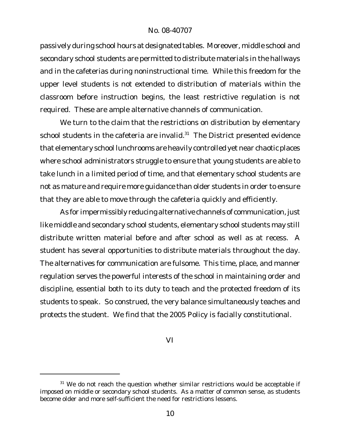passively during school hours at designated tables. Moreover, middle school and secondary school students are permitted to distribute materials in the hallways and in the cafeterias during noninstructional time. While this freedom for the upper level students is not extended to distribution of materials within the classroom before instruction begins, the least restrictive regulation is not required. These are ample alternative channels of communication.

We turn to the claim that the restrictions on distribution by elementary school students in the cafeteria are invalid. $31$  The District presented evidence that elementary school lunchrooms are heavily controlled yet near chaotic places where school administrators struggle to ensure that young students are able to take lunch in a limited period of time, and that elementary school students are not as mature and require more guidance than older students in order to ensure that they are able to move through the cafeteria quickly and efficiently.

As for impermissibly reducing alternative channels of communication, just like middle and secondary school students, elementary school students may still distribute written material before and after school as well as at recess. A student has several opportunities to distribute materials throughout the day. The alternatives for communication are fulsome. This time, place, and manner regulation serves the powerful interests of the school in maintaining order and discipline, essential both to its duty to teach and the protected freedom of its students to speak. So construed, the very balance simultaneously teaches and protects the student. We find that the 2005 Policy is facially constitutional.

VI

<sup>&</sup>lt;sup>31</sup> We do not reach the question whether similar restrictions would be acceptable if imposed on middle or secondary school students. As a matter of common sense, as students become older and more self-sufficient the need for restrictions lessens.